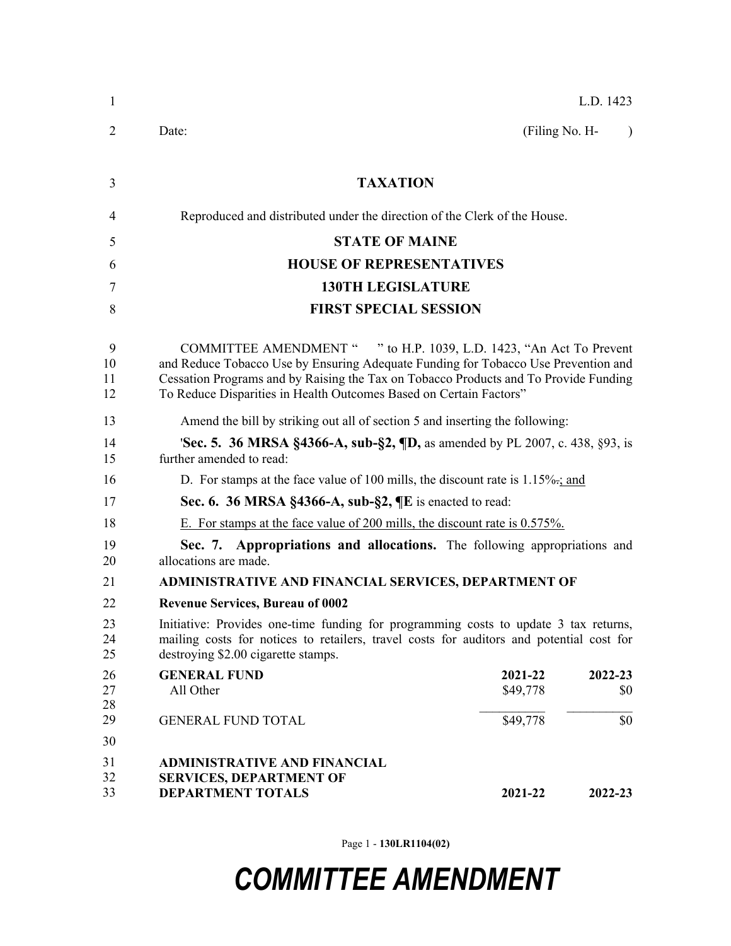| 1                   | L.D. 1423                                                                                                                                                                                                                                                                                                               |  |  |
|---------------------|-------------------------------------------------------------------------------------------------------------------------------------------------------------------------------------------------------------------------------------------------------------------------------------------------------------------------|--|--|
| 2                   | Date:<br>(Filing No. H-<br>$\lambda$                                                                                                                                                                                                                                                                                    |  |  |
| 3                   | <b>TAXATION</b>                                                                                                                                                                                                                                                                                                         |  |  |
| 4                   | Reproduced and distributed under the direction of the Clerk of the House.                                                                                                                                                                                                                                               |  |  |
| 5                   | <b>STATE OF MAINE</b>                                                                                                                                                                                                                                                                                                   |  |  |
| 6                   | <b>HOUSE OF REPRESENTATIVES</b>                                                                                                                                                                                                                                                                                         |  |  |
| 7                   | <b>130TH LEGISLATURE</b>                                                                                                                                                                                                                                                                                                |  |  |
| 8                   | <b>FIRST SPECIAL SESSION</b>                                                                                                                                                                                                                                                                                            |  |  |
|                     |                                                                                                                                                                                                                                                                                                                         |  |  |
| 9<br>10<br>11<br>12 | COMMITTEE AMENDMENT " " to H.P. 1039, L.D. 1423, "An Act To Prevent<br>and Reduce Tobacco Use by Ensuring Adequate Funding for Tobacco Use Prevention and<br>Cessation Programs and by Raising the Tax on Tobacco Products and To Provide Funding<br>To Reduce Disparities in Health Outcomes Based on Certain Factors" |  |  |
| 13                  | Amend the bill by striking out all of section 5 and inserting the following:                                                                                                                                                                                                                                            |  |  |
| 14<br>15            | <b>Sec. 5. 36 MRSA §4366-A, sub-§2, <math>\P</math>D,</b> as amended by PL 2007, c. 438, §93, is<br>further amended to read:                                                                                                                                                                                            |  |  |
| 16                  | D. For stamps at the face value of 100 mills, the discount rate is $1.15\%$ . and                                                                                                                                                                                                                                       |  |  |
| 17                  | Sec. 6. 36 MRSA $\S$ 4366-A, sub- $\S$ 2, $\P$ E is enacted to read:                                                                                                                                                                                                                                                    |  |  |
| 18                  | E. For stamps at the face value of 200 mills, the discount rate is $0.575\%$ .                                                                                                                                                                                                                                          |  |  |
| 19<br>20            | Sec. 7. Appropriations and allocations. The following appropriations and<br>allocations are made.                                                                                                                                                                                                                       |  |  |
| 21                  | ADMINISTRATIVE AND FINANCIAL SERVICES, DEPARTMENT OF                                                                                                                                                                                                                                                                    |  |  |
| 22                  | <b>Revenue Services, Bureau of 0002</b>                                                                                                                                                                                                                                                                                 |  |  |
| 23<br>24<br>25      | Initiative: Provides one-time funding for programming costs to update 3 tax returns,<br>mailing costs for notices to retailers, travel costs for auditors and potential cost for<br>destroying \$2.00 cigarette stamps.                                                                                                 |  |  |
| 26<br>27<br>28      | <b>GENERAL FUND</b><br>2021-22<br>2022-23<br>All Other<br>\$49,778<br>\$0                                                                                                                                                                                                                                               |  |  |
| 29                  | \$49,778<br>\$0<br><b>GENERAL FUND TOTAL</b>                                                                                                                                                                                                                                                                            |  |  |
| 30                  |                                                                                                                                                                                                                                                                                                                         |  |  |
| 31<br>32<br>33      | <b>ADMINISTRATIVE AND FINANCIAL</b><br><b>SERVICES, DEPARTMENT OF</b><br><b>DEPARTMENT TOTALS</b><br>2021-22<br>2022-23                                                                                                                                                                                                 |  |  |

Page 1 - **130LR1104(02)**

## *COMMITTEE AMENDMENT*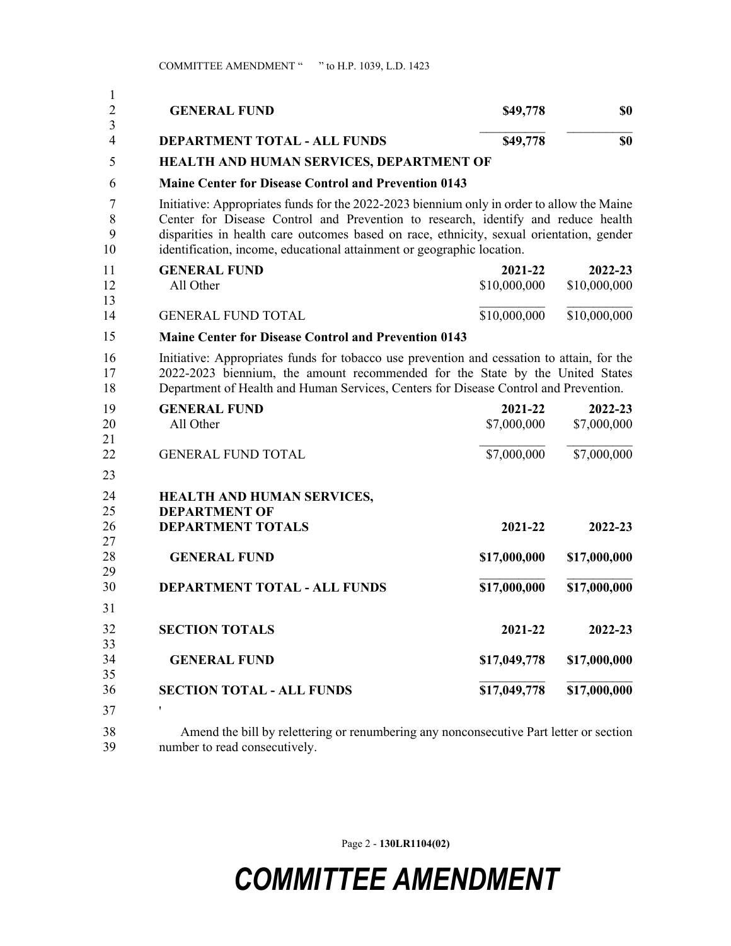| 1<br>$\overline{2}$ | <b>GENERAL FUND</b>                                                                                                                                                                                                                                                                                                                                   | \$49,778                | \$0                     |  |
|---------------------|-------------------------------------------------------------------------------------------------------------------------------------------------------------------------------------------------------------------------------------------------------------------------------------------------------------------------------------------------------|-------------------------|-------------------------|--|
| 3<br>4              | <b>DEPARTMENT TOTAL - ALL FUNDS</b>                                                                                                                                                                                                                                                                                                                   | \$49,778                | \$0                     |  |
| 5                   | HEALTH AND HUMAN SERVICES, DEPARTMENT OF                                                                                                                                                                                                                                                                                                              |                         |                         |  |
| 6                   | <b>Maine Center for Disease Control and Prevention 0143</b>                                                                                                                                                                                                                                                                                           |                         |                         |  |
| 7<br>8<br>9<br>10   | Initiative: Appropriates funds for the 2022-2023 biennium only in order to allow the Maine<br>Center for Disease Control and Prevention to research, identify and reduce health<br>disparities in health care outcomes based on race, ethnicity, sexual orientation, gender<br>identification, income, educational attainment or geographic location. |                         |                         |  |
| 11<br>12<br>13      | <b>GENERAL FUND</b><br>All Other                                                                                                                                                                                                                                                                                                                      | 2021-22<br>\$10,000,000 | 2022-23<br>\$10,000,000 |  |
| 14                  | <b>GENERAL FUND TOTAL</b>                                                                                                                                                                                                                                                                                                                             | \$10,000,000            | \$10,000,000            |  |
| 15                  | <b>Maine Center for Disease Control and Prevention 0143</b>                                                                                                                                                                                                                                                                                           |                         |                         |  |
| 16<br>17<br>18      | Initiative: Appropriates funds for tobacco use prevention and cessation to attain, for the<br>2022-2023 biennium, the amount recommended for the State by the United States<br>Department of Health and Human Services, Centers for Disease Control and Prevention.                                                                                   |                         |                         |  |
| 19<br>20<br>21      | <b>GENERAL FUND</b><br>All Other                                                                                                                                                                                                                                                                                                                      | 2021-22<br>\$7,000,000  | 2022-23<br>\$7,000,000  |  |
| 22                  | <b>GENERAL FUND TOTAL</b>                                                                                                                                                                                                                                                                                                                             | \$7,000,000             | \$7,000,000             |  |
| 23                  |                                                                                                                                                                                                                                                                                                                                                       |                         |                         |  |
| 24<br>25            | HEALTH AND HUMAN SERVICES,<br><b>DEPARTMENT OF</b>                                                                                                                                                                                                                                                                                                    |                         |                         |  |
| 26<br>27            | <b>DEPARTMENT TOTALS</b>                                                                                                                                                                                                                                                                                                                              | 2021-22                 | 2022-23                 |  |
| 28<br>29            | <b>GENERAL FUND</b>                                                                                                                                                                                                                                                                                                                                   | \$17,000,000            | \$17,000,000            |  |
| 30                  | <b>DEPARTMENT TOTAL - ALL FUNDS</b>                                                                                                                                                                                                                                                                                                                   | \$17,000,000            | \$17,000,000            |  |
| 31                  |                                                                                                                                                                                                                                                                                                                                                       |                         |                         |  |
| 32<br>33            | <b>SECTION TOTALS</b>                                                                                                                                                                                                                                                                                                                                 | 2021-22                 | 2022-23                 |  |
| 34<br>35            | <b>GENERAL FUND</b>                                                                                                                                                                                                                                                                                                                                   | \$17,049,778            | \$17,000,000            |  |
| 36                  | <b>SECTION TOTAL - ALL FUNDS</b>                                                                                                                                                                                                                                                                                                                      | \$17,049,778            | \$17,000,000            |  |
| 37                  |                                                                                                                                                                                                                                                                                                                                                       |                         |                         |  |
| 38<br>39            | Amend the bill by relettering or renumbering any nonconsecutive Part letter or section<br>number to read consecutively.                                                                                                                                                                                                                               |                         |                         |  |

Page 2 - **130LR1104(02)**

## *COMMITTEE AMENDMENT*